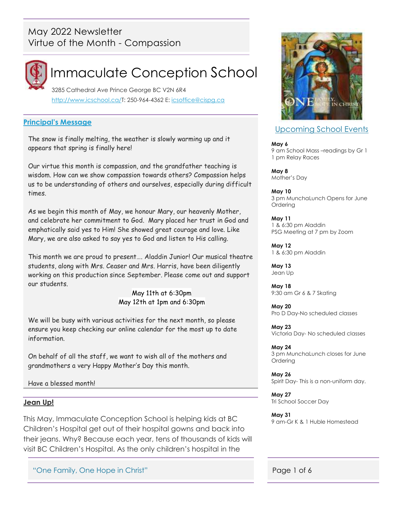## May 2022 Newsletter Virtue of the Month - Compassion



# Immaculate Conception School

 3285 Cathedral Ave Prince George BC V2N 6R4 [http://www.icschool.ca/T](http://www.icschool.ca/): 250-964-4362 E: [icsoffice@cispg.ca](file:///C:/Users/Office/Documents/School%202017-2018/Newsletters/09%20-MAY/icsoffice@cispg.ca)

#### **Principal's Message**

The snow is finally melting, the weather is slowly warming up and it appears that spring is finally here!

Our virtue this month is compassion, and the grandfather teaching is wisdom. How can we show compassion towards others? Compassion helps us to be understanding of others and ourselves, especially during difficult times.

As we begin this month of May, we honour Mary, our heavenly Mother, and celebrate her commitment to God. Mary placed her trust in God and emphatically said yes to Him! She showed great courage and love. Like Mary, we are also asked to say yes to God and listen to His calling.

This month we are proud to present…. Aladdin Junior! Our musical theatre students, along with Mrs. Ceaser and Mrs. Harris, have been diligently working on this production since September. Please come out and support our students.

> May 11th at 6:30pm May 12th at 1pm and 6:30pm

We will be busy with various activities for the next month, so please ensure you keep checking our online calendar for the most up to date information.

On behalf of all the staff, we want to wish all of the mothers and grandmothers a very Happy Mother's Day this month.

Have a blessed month!

#### **Jean Up!**

This May, Immaculate Conception School is helping kids at BC Children's Hospital get out of their hospital gowns and back into their jeans. Why? Because each year, tens of thousands of kids will visit BC Children's Hospital. As the only children's hospital in the

"One Family, One Hope in Christ" And All Annual Control of 6 (1996) 1 of 6 (1996) 1 of 6 (1997) 4 (1998) 1 of 6 (1998) 1 of 6 (1998) 1 of 6 (1998) 1 of 6 (1999) 1 of 6 (1999) 1 of 6 (1999) 1 of 6 (1999) 1 of 6 (1999) 1 of



#### Upcoming School Events

#### **May 6**

9 am School Mass –readings by Gr 1 1 pm Relay Races

**May 8** Mother's Day

**May 10** 3 pm MunchaLunch Opens for June Ordering

**May 11** 1 & 6:30 pm Aladdin PSG Meeting at 7 pm by Zoom

**May 12** 1 & 6:30 pm Aladdin

**May 13** Jean Up

**May 18** 9:30 am Gr 6 & 7 Skating

**May 20** Pro D Day-No scheduled classes

**May 23** Victoria Day- No scheduled classes

**May 24** 3 pm MunchaLunch closes for June Ordering

**May 26** Spirit Day- This is a non-uniform day.

**May 27** Tri School Soccer Day

**May 31** 9 am-Gr K & 1 Huble Homestead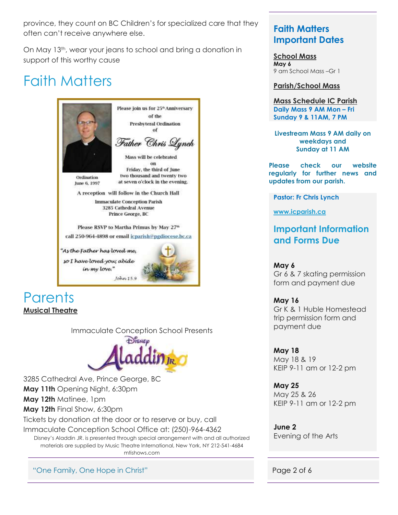province, they count on BC Children's for specialized care that they often can't receive anywhere else.

On May 13th, wear your jeans to school and bring a donation in support of this worthy cause

# Faith Matters



# **Parents Musical Theatre**

Immaculate Conception School Presents



3285 Cathedral Ave, Prince George, BC **May 11th** Opening Night, 6:30pm **May 12th** Matinee, 1pm

**May 12th** Final Show, 6:30pm

Tickets by donation at the door or to reserve or buy, call

Immaculate Conception School Office at: (250)-964-4362

Disney's Aladdin JR. is presented through special arrangement with and all authorized materials are supplied by Music Theatre International, New York, NY 212-541-4684 mtishows.com

"One Family, One Hope in Christ" And All Annual Control of American Page 2 of 6

## **Faith Matters Important Dates**

**School Mass May 6** 9 am School Mass –Gr 1

### **Parish/School Mass**

**Mass Schedule IC Parish Daily Mass 9 AM Mon - Fri Sunday 9 & 11AM, 7 PM**

**Livestream Mass 9 AM daily on weekdays and Sunday at 11 AM**

**Please check our website regularly for further news and updates from our parish.**

**Pastor: Fr Chris Lynch**

**[www.icparish.ca](file:///C:/Users/Office/Documents/School%202021-2022/Newsletters/09%20-MAY/www.icparish.ca)**

# **Important Information and Forms Due**

**May 6** Gr 6 & 7 skating permission form and payment due

**May 16** Gr K & 1 Huble Homestead trip permission form and payment due

**May 18** May 18 & 19 KEIP 9-11 am or 12-2 pm

**May 25** May 25 & 26 KEIP 9-11 am or 12-2 pm

**June 2** Evening of the Arts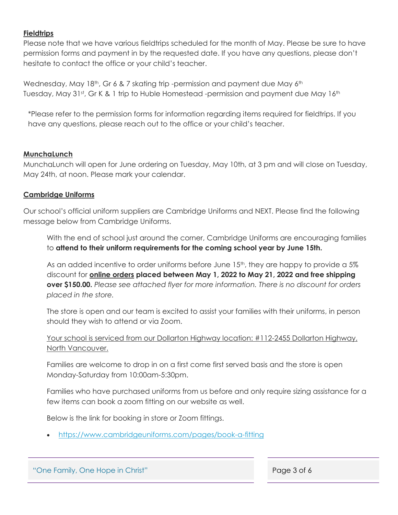#### **Fieldtrips**

Please note that we have various fieldtrips scheduled for the month of May. Please be sure to have permission forms and payment in by the requested date. If you have any questions, please don't hesitate to contact the office or your child's teacher.

Wednesday, May 18<sup>th</sup>, Gr 6 & 7 skating trip -permission and payment due May  $6<sup>th</sup>$ Tuesday, May 31<sup>st</sup>, Gr K & 1 trip to Huble Homestead -permission and payment due May 16<sup>th</sup>

\*Please refer to the permission forms for information regarding items required for fieldtrips. If you have any questions, please reach out to the office or your child's teacher.

#### **MunchaLunch**

MunchaLunch will open for June ordering on Tuesday, May 10th, at 3 pm and will close on Tuesday, May 24th, at noon. Please mark your calendar.

### **Cambridge Uniforms**

Our school's official uniform suppliers are Cambridge Uniforms and NEXT. Please find the following message below from Cambridge Uniforms.

With the end of school just around the corner, Cambridge Uniforms are encouraging families to **attend to their uniform requirements for the coming school year by June 15th.**

As an added incentive to order uniforms before June 15<sup>th</sup>, they are happy to provide a 5% discount for **online orders placed between May 1, 2022 to May 21, 2022 and free shipping over \$150.00.** *Please see attached flyer for more information. There is no discount for orders placed in the store.*

The store is open and our team is excited to assist your families with their uniforms, in person should they wish to attend or via Zoom.

Your school is serviced from our Dollarton Highway location: #112-2455 Dollarton Highway, North Vancouver.

Families are welcome to drop in on a first come first served basis and the store is open Monday-Saturday from 10:00am-5:30pm.

Families who have purchased uniforms from us before and only require sizing assistance for a few items can book a zoom fitting on our website as well.

Below is the link for booking in store or Zoom fittings.

<https://www.cambridgeuniforms.com/pages/book-a-fitting>

| "One Family, One Hope in Christ" | Page 3 of 6 |
|----------------------------------|-------------|
|                                  |             |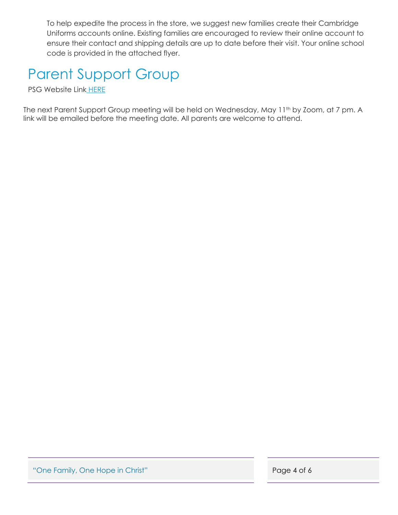To help expedite the process in the store, we suggest new families create their Cambridge Uniforms accounts online. Existing families are encouraged to review their online account to ensure their contact and shipping details are up to date before their visit. Your online school code is provided in the attached flyer.

# Parent Support Group

PSG Website Link [HERE](https://www.icschool.ca/general-information/parent-support-group)

The next Parent Support Group meeting will be held on Wednesday, May 11<sup>th</sup> by Zoom, at 7 pm. A link will be emailed before the meeting date. All parents are welcome to attend.

"One Family, One Hope in Christ" **Page 4 of 6**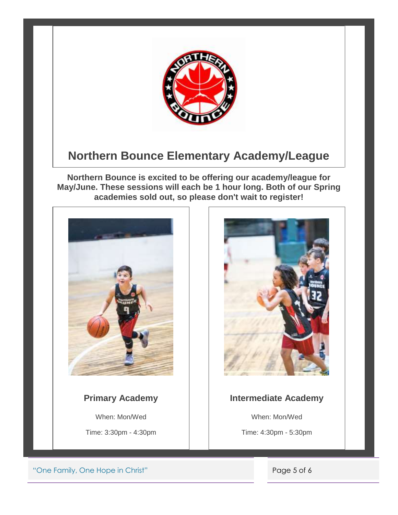

# **Northern Bounce Elementary Academy/League**

**Northern Bounce is excited to be offering our academy/league for May/June. These sessions will each be 1 hour long. Both of our Spring academies sold out, so please don't wait to register!**



# **Primary Academy**

When: Mon/Wed

Time: 3:30pm - 4:30pm



### **Intermediate Academy**

When: Mon/Wed

Time: 4:30pm - 5:30pm

"One Family, One Hope in Christ" **Page 5 of 6**